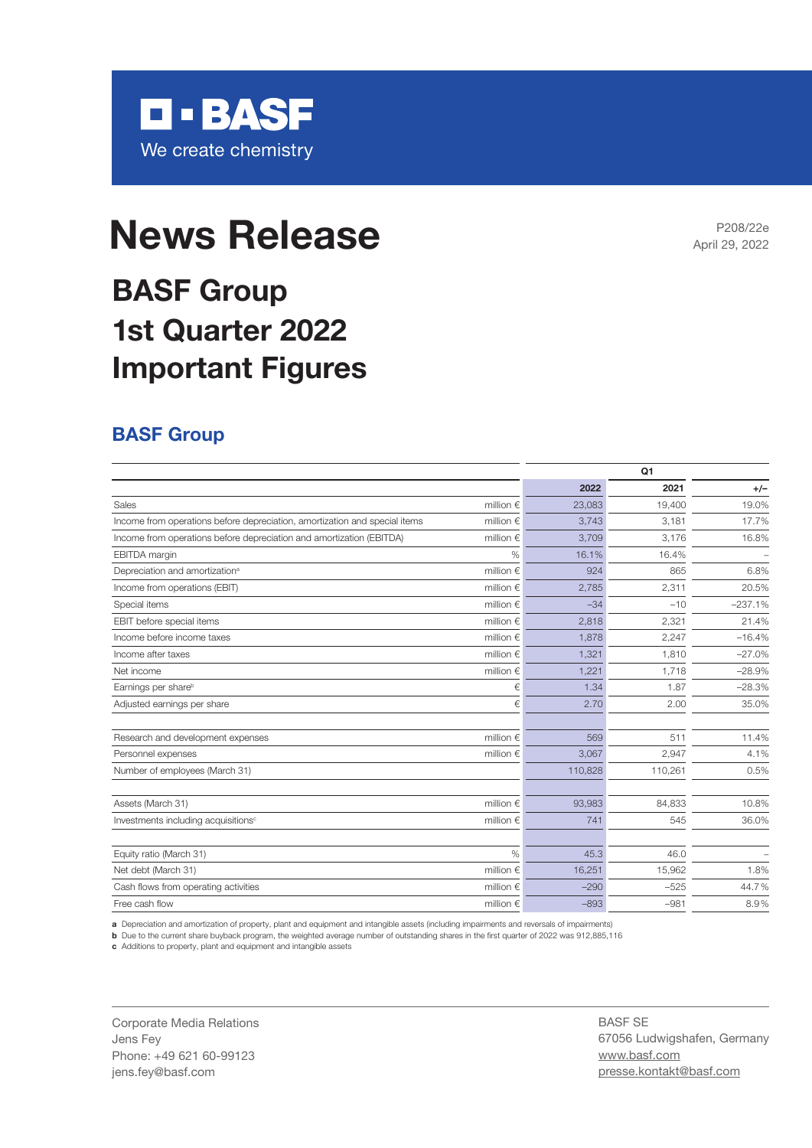

# **News Release News Release**

## **BASF Group 1st Quarter 2022 Important Figures**

### **BASF Group**

|                                                                            |                    |         | Q <sub>1</sub> |           |
|----------------------------------------------------------------------------|--------------------|---------|----------------|-----------|
|                                                                            |                    | 2022    | 2021           | $+/-$     |
| Sales                                                                      | million $\in$      | 23.083  | 19.400         | 19.0%     |
| Income from operations before depreciation, amortization and special items | million $\in$      | 3.743   | 3,181          | 17.7%     |
| Income from operations before depreciation and amortization (EBITDA)       | million $\epsilon$ | 3,709   | 3,176          | 16.8%     |
| <b>EBITDA</b> margin                                                       | $\%$               | 16.1%   | 16.4%          |           |
| Depreciation and amortization <sup>a</sup>                                 | million $\epsilon$ | 924     | 865            | 6.8%      |
| Income from operations (EBIT)                                              | million $\epsilon$ | 2,785   | 2,311          | 20.5%     |
| Special items                                                              | million $\in$      | $-34$   | $-10$          | $-237.1%$ |
| EBIT before special items                                                  | million $\epsilon$ | 2,818   | 2,321          | 21.4%     |
| Income before income taxes                                                 | million $\epsilon$ | 1,878   | 2,247          | $-16.4%$  |
| Income after taxes                                                         | million $\epsilon$ | 1,321   | 1,810          | $-27.0%$  |
| Net income                                                                 | million $\in$      | 1,221   | 1.718          | $-28.9%$  |
| Earnings per share <sup>b</sup>                                            | €                  | 1.34    | 1.87           | $-28.3%$  |
| Adjusted earnings per share                                                | €                  | 2.70    | 2.00           | 35.0%     |
| Research and development expenses                                          | million $\epsilon$ | 569     | 511            | 11.4%     |
| Personnel expenses                                                         | million $\in$      | 3,067   | 2,947          | 4.1%      |
| Number of employees (March 31)                                             |                    | 110,828 | 110,261        | 0.5%      |
| Assets (March 31)                                                          | million $\epsilon$ | 93,983  | 84,833         | 10.8%     |
| Investments including acquisitions <sup>c</sup>                            | million $\epsilon$ | 741     | 545            | 36.0%     |
| Equity ratio (March 31)                                                    | $\frac{0}{0}$      | 45.3    | 46.0           |           |
| Net debt (March 31)                                                        | million $\epsilon$ | 16,251  | 15,962         | 1.8%      |
| Cash flows from operating activities                                       | million $\epsilon$ | $-290$  | $-525$         | 44.7%     |
| Free cash flow                                                             | million $\epsilon$ | $-893$  | $-981$         | 8.9%      |

**a** Depreciation and amortization of property, plant and equipment and intangible assets (including impairments and reversals of impairments)

**b** Due to the current share buyback program, the weighted average number of outstanding shares in the first quarter of 2022 was 912,885,116

**c** Additions to property, plant and equipment and intangible assets

Corporate Media Relations Jens Fey Phone: +49 621 60-99123 jens.fey@basf.com

BASF SE 67056 Ludwigshafen, Germany www.basf.com presse.kontakt@basf.com